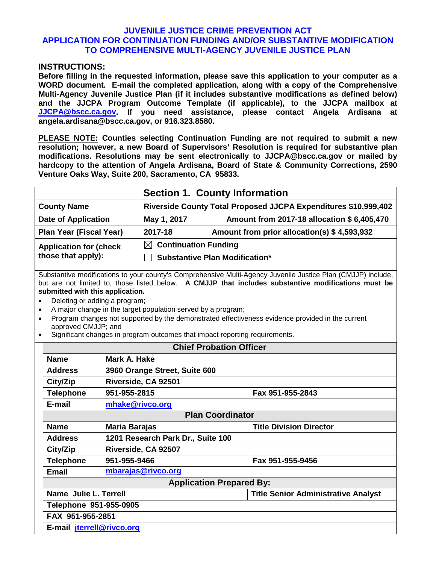### **INSTRUCTIONS:**

**Before filling in the requested information, please save this application to your computer as a WORD document. E-mail the completed application, along with a copy of the Comprehensive Multi-Agency Juvenile Justice Plan (if it includes substantive modifications as defined below) and the JJCPA Program Outcome Template (if applicable), to the JJCPA mailbox at [JJCPA@bscc.ca.gov.](mailto:JJCPA@bscc.ca.gov) If you need assistance, please contact Angela Ardisana at angela.ardisana@bscc.ca.gov, or 916.323.8580.**

**PLEASE NOTE: Counties selecting Continuation Funding are not required to submit a new resolution; however, a new Board of Supervisors' Resolution is required for substantive plan modifications. Resolutions may be sent electronically to JJCPA@bscc.ca.gov or mailed by hardcopy to the attention of Angela Ardisana, Board of State & Community Corrections, 2590 Venture Oaks Way, Suite 200, Sacramento, CA 95833.** 

|                                                      |                                  | <b>Section 1. County Information</b>                            |
|------------------------------------------------------|----------------------------------|-----------------------------------------------------------------|
| <b>County Name</b>                                   |                                  | Riverside County Total Proposed JJCPA Expenditures \$10,999,402 |
| <b>Date of Application</b>                           | May 1, 2017                      | Amount from 2017-18 allocation \$6,405,470                      |
| <b>Plan Year (Fiscal Year)</b>                       | 2017-18                          | Amount from prior allocation(s) \$4,593,932                     |
| <b>Application for (check)</b><br>those that apply): | $\boxtimes$ Continuation Funding | <b>Substantive Plan Modification*</b>                           |

Substantive modifications to your county's Comprehensive Multi-Agency Juvenile Justice Plan (CMJJP) include, but are not limited to, those listed below. **A CMJJP that includes substantive modifications must be submitted with this application.**

- Deleting or adding a program;
- A major change in the target population served by a program;
- Program changes not supported by the demonstrated effectiveness evidence provided in the current approved CMJJP; and
- Significant changes in program outcomes that impact reporting requirements.

| <b>Chief Probation Officer</b>                                      |                                   |                                |  |  |  |
|---------------------------------------------------------------------|-----------------------------------|--------------------------------|--|--|--|
| <b>Name</b>                                                         | Mark A. Hake                      |                                |  |  |  |
| <b>Address</b>                                                      | 3960 Orange Street, Suite 600     |                                |  |  |  |
| City/Zip                                                            | Riverside, CA 92501               |                                |  |  |  |
| <b>Telephone</b>                                                    | 951-955-2815                      | Fax 951-955-2843               |  |  |  |
| E-mail                                                              | mhake@rivco.org                   |                                |  |  |  |
|                                                                     | <b>Plan Coordinator</b>           |                                |  |  |  |
| <b>Name</b>                                                         | Maria Barajas                     | <b>Title Division Director</b> |  |  |  |
| <b>Address</b>                                                      | 1201 Research Park Dr., Suite 100 |                                |  |  |  |
| City/Zip                                                            | Riverside, CA 92507               |                                |  |  |  |
| <b>Telephone</b>                                                    | 951-955-9466                      | Fax 951-955-9456               |  |  |  |
| <b>Email</b>                                                        | mbarajas@rivco.org                |                                |  |  |  |
|                                                                     | <b>Application Prepared By:</b>   |                                |  |  |  |
| Name Julie L. Terrell<br><b>Title Senior Administrative Analyst</b> |                                   |                                |  |  |  |
| Telephone 951-955-0905                                              |                                   |                                |  |  |  |
| FAX 951-955-2851                                                    |                                   |                                |  |  |  |
| E-mail jterrell@rivco.org                                           |                                   |                                |  |  |  |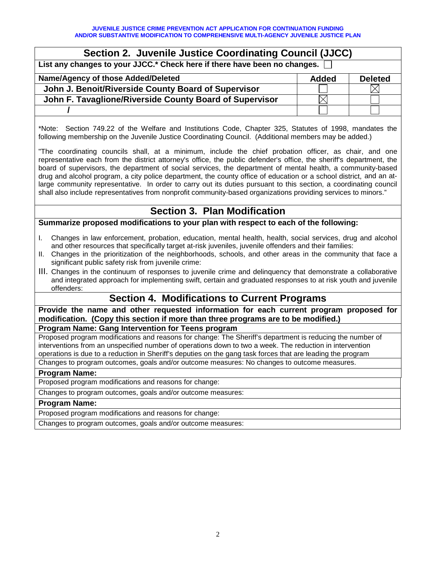| Section 2. Juvenile Justice Coordinating Council (JJCC)                   |  |  |  |  |
|---------------------------------------------------------------------------|--|--|--|--|
| List any changes to your JJCC.* Check here if there have been no changes. |  |  |  |  |
| Name/Agency of those Added/Deleted<br><b>Added</b><br><b>Deleted</b>      |  |  |  |  |
| John J. Benoit/Riverside County Board of Supervisor                       |  |  |  |  |
| John F. Tavaglione/Riverside County Board of Supervisor                   |  |  |  |  |
|                                                                           |  |  |  |  |

\*Note: Section 749.22 of the Welfare and Institutions Code, Chapter 325, Statutes of 1998, mandates the following membership on the Juvenile Justice Coordinating Council. (Additional members may be added.)

"The coordinating councils shall, at a minimum, include the chief probation officer, as chair, and one representative each from the district attorney's office, the public defender's office, the sheriff's department, the board of supervisors, the department of social services, the department of mental health, a community-based drug and alcohol program, a city police department, the county office of education or a school district, and an atlarge community representative. In order to carry out its duties pursuant to this section, a coordinating council shall also include representatives from nonprofit community-based organizations providing services to minors."

# **Section 3. Plan Modification**

**Summarize proposed modifications to your plan with respect to each of the following:**

- I. Changes in law enforcement, probation, education, mental health, health, social services, drug and alcohol and other resources that specifically target at-risk juveniles, juvenile offenders and their families:
- II. Changes in the prioritization of the neighborhoods, schools, and other areas in the community that face a significant public safety risk from juvenile crime:
- III. Changes in the continuum of responses to juvenile crime and delinquency that demonstrate a collaborative and integrated approach for implementing swift, certain and graduated responses to at risk youth and juvenile offenders:

# **Section 4. Modifications to Current Programs**

**Provide the name and other requested information for each current program proposed for modification. (Copy this section if more than three programs are to be modified.)**

**Program Name: Gang Intervention for Teens program**

Proposed program modifications and reasons for change: The Sheriff's department is reducing the number of interventions from an unspecified number of operations down to two a week. The reduction in intervention operations is due to a reduction in Sheriff's deputies on the gang task forces that are leading the program Changes to program outcomes, goals and/or outcome measures: No changes to outcome measures.

## **Program Name:**

Proposed program modifications and reasons for change:

Changes to program outcomes, goals and/or outcome measures:

### **Program Name:**

Proposed program modifications and reasons for change:

Changes to program outcomes, goals and/or outcome measures: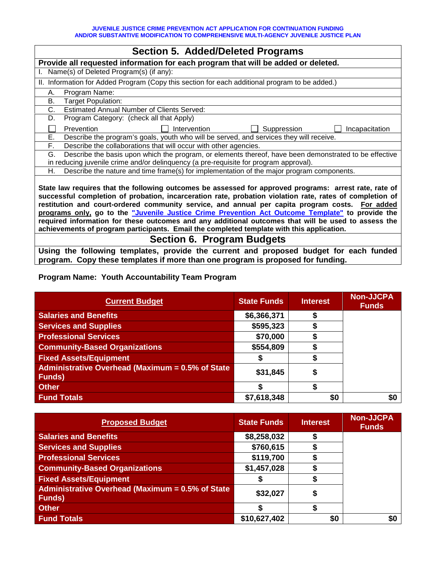| <b>Section 5. Added/Deleted Programs</b>                                                                                                                                                                                                                                                                                                                                                                                  |  |  |  |
|---------------------------------------------------------------------------------------------------------------------------------------------------------------------------------------------------------------------------------------------------------------------------------------------------------------------------------------------------------------------------------------------------------------------------|--|--|--|
| Provide all requested information for each program that will be added or deleted.                                                                                                                                                                                                                                                                                                                                         |  |  |  |
| Name(s) of Deleted Program(s) (if any):                                                                                                                                                                                                                                                                                                                                                                                   |  |  |  |
| II. Information for Added Program (Copy this section for each additional program to be added.)                                                                                                                                                                                                                                                                                                                            |  |  |  |
| Program Name:<br>А.                                                                                                                                                                                                                                                                                                                                                                                                       |  |  |  |
| B.<br>Target Population:                                                                                                                                                                                                                                                                                                                                                                                                  |  |  |  |
| <b>Estimated Annual Number of Clients Served:</b><br>C.                                                                                                                                                                                                                                                                                                                                                                   |  |  |  |
| Program Category: (check all that Apply)<br>D.                                                                                                                                                                                                                                                                                                                                                                            |  |  |  |
| Suppression<br>Prevention<br>Intervention<br>Incapacitation                                                                                                                                                                                                                                                                                                                                                               |  |  |  |
| Е.<br>Describe the program's goals, youth who will be served, and services they will receive.                                                                                                                                                                                                                                                                                                                             |  |  |  |
| Describe the collaborations that will occur with other agencies.<br>F.                                                                                                                                                                                                                                                                                                                                                    |  |  |  |
| Describe the basis upon which the program, or elements thereof, have been demonstrated to be effective<br>G.                                                                                                                                                                                                                                                                                                              |  |  |  |
| in reducing juvenile crime and/or delinquency (a pre-requisite for program approval).                                                                                                                                                                                                                                                                                                                                     |  |  |  |
| Describe the nature and time frame(s) for implementation of the major program components.<br>Н.                                                                                                                                                                                                                                                                                                                           |  |  |  |
| State law requires that the following outcomes be assessed for approved programs: arrest rate, rate of<br>successful completion of probation, incarceration rate, probation violation rate, rates of completion of<br>restitution and court-ordered community service, and annual per capita program costs. For added<br>programs only, go to the "Juvenile Justice Crime Prevention Act Outcome Template" to provide the |  |  |  |

**required information for these outcomes and any additional outcomes that will be used to assess the achievements of program participants. Email the completed template with this application.** 

## **Section 6. Program Budgets**

**Using the following templates, provide the current and proposed budget for each funded program. Copy these templates if more than one program is proposed for funding.** 

## **Program Name: Youth Accountability Team Program**

| <b>Current Budget</b>                                              | <b>State Funds</b> | <b>Interest</b> | <b>Non-JJCPA</b><br><b>Funds</b> |
|--------------------------------------------------------------------|--------------------|-----------------|----------------------------------|
| <b>Salaries and Benefits</b>                                       | \$6,366,371        |                 |                                  |
| <b>Services and Supplies</b>                                       | \$595,323          |                 |                                  |
| <b>Professional Services</b>                                       | \$70,000           |                 |                                  |
| <b>Community-Based Organizations</b>                               | \$554,809          |                 |                                  |
| <b>Fixed Assets/Equipment</b>                                      |                    |                 |                                  |
| Administrative Overhead (Maximum = 0.5% of State<br><b>Funds</b> ) | \$31,845           |                 |                                  |
| <b>Other</b>                                                       |                    |                 |                                  |
| <b>Fund Totals</b>                                                 | \$7,618,348        | \$0             | \$0                              |

| <b>Proposed Budget</b>                                     | <b>State Funds</b> | <b>Interest</b> | <b>Non-JJCPA</b><br><b>Funds</b> |
|------------------------------------------------------------|--------------------|-----------------|----------------------------------|
| <b>Salaries and Benefits</b>                               | \$8,258,032        |                 |                                  |
| <b>Services and Supplies</b>                               | \$760,615          |                 |                                  |
| <b>Professional Services</b>                               | \$119,700          |                 |                                  |
| <b>Community-Based Organizations</b>                       | \$1,457,028        |                 |                                  |
| <b>Fixed Assets/Equipment</b>                              |                    |                 |                                  |
| Administrative Overhead (Maximum = 0.5% of State<br>Funds) | \$32,027           |                 |                                  |
| <b>Other</b>                                               |                    |                 |                                  |
| <b>Fund Totals</b>                                         | \$10,627,402       | \$0             | \$0                              |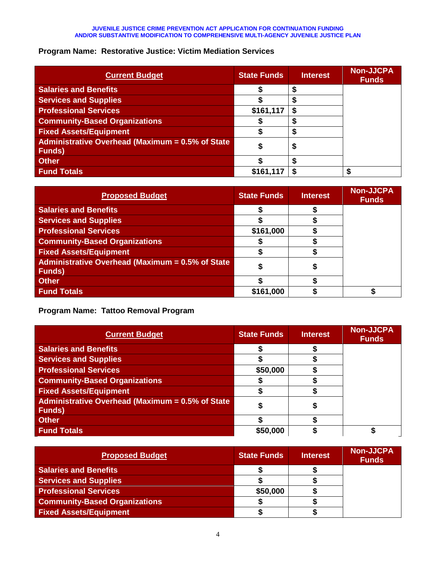## **Program Name: Restorative Justice: Victim Mediation Services**

| <b>Current Budget</b>                                              | <b>State Funds</b> | <b>Interest</b> | <b>Non-JJCPA</b><br><b>Funds</b> |
|--------------------------------------------------------------------|--------------------|-----------------|----------------------------------|
| <b>Salaries and Benefits</b>                                       |                    |                 |                                  |
| <b>Services and Supplies</b>                                       |                    |                 |                                  |
| <b>Professional Services</b>                                       | \$161,117          |                 |                                  |
| <b>Community-Based Organizations</b>                               |                    |                 |                                  |
| <b>Fixed Assets/Equipment</b>                                      |                    |                 |                                  |
| Administrative Overhead (Maximum = 0.5% of State<br><b>Funds</b> ) |                    | Œ               |                                  |
| <b>Other</b>                                                       |                    |                 |                                  |
| <b>Fund Totals</b>                                                 | \$161,11           |                 |                                  |

| <b>Proposed Budget</b>                                                    | <b>State Funds</b> | <b>Interest</b> | <b>Non-JJCPA</b><br><b>Funds</b> |
|---------------------------------------------------------------------------|--------------------|-----------------|----------------------------------|
| <b>Salaries and Benefits</b>                                              |                    |                 |                                  |
| <b>Services and Supplies</b>                                              |                    |                 |                                  |
| <b>Professional Services</b>                                              | \$161,000          |                 |                                  |
| <b>Community-Based Organizations</b>                                      |                    |                 |                                  |
| <b>Fixed Assets/Equipment</b>                                             |                    |                 |                                  |
| <b>Administrative Overhead (Maximum = 0.5% of State</b><br><b>Funds</b> ) |                    |                 |                                  |
| <b>Other</b>                                                              |                    |                 |                                  |
| <b>Fund Totals</b>                                                        | \$161,000          |                 |                                  |

**Program Name: Tattoo Removal Program**

| <b>Current Budget</b>                                             | <b>State Funds</b> | <b>Interest</b> | <b>Non-JJCPA</b><br><b>Funds</b> |
|-------------------------------------------------------------------|--------------------|-----------------|----------------------------------|
| <b>Salaries and Benefits</b>                                      |                    |                 |                                  |
| <b>Services and Supplies</b>                                      |                    |                 |                                  |
| <b>Professional Services</b>                                      | \$50,000           |                 |                                  |
| <b>Community-Based Organizations</b>                              |                    |                 |                                  |
| <b>Fixed Assets/Equipment</b>                                     |                    |                 |                                  |
| Administrative Overhead (Maximum = 0.5% of State<br><b>Funds)</b> |                    |                 |                                  |
| <b>Other</b>                                                      |                    |                 |                                  |
| <b>Fund Totals</b>                                                | \$50,000           |                 |                                  |

| <b>Proposed Budget</b>               | <b>State Funds</b> | <b>Interest</b> | <b>Non-JJCPA</b><br><b>Funds</b> |
|--------------------------------------|--------------------|-----------------|----------------------------------|
| <b>Salaries and Benefits</b>         |                    |                 |                                  |
| <b>Services and Supplies</b>         |                    |                 |                                  |
| <b>Professional Services</b>         | \$50,000           |                 |                                  |
| <b>Community-Based Organizations</b> |                    |                 |                                  |
| <b>Fixed Assets/Equipment</b>        |                    |                 |                                  |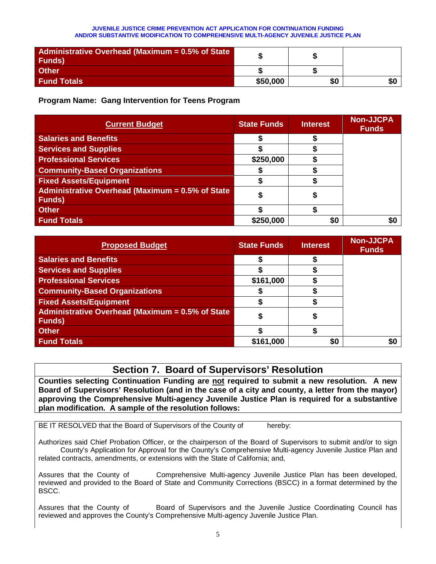| Administrative Overhead (Maximum = 0.5% of State<br><b>Funds</b> ) |          |     |    |
|--------------------------------------------------------------------|----------|-----|----|
| <b>Other</b>                                                       |          |     |    |
| <b>Fund Totals</b>                                                 | \$50,000 | \$0 | 50 |

**Program Name: Gang Intervention for Teens Program**

| <b>Current Budget</b>                                              | <b>State Funds</b> | <b>Interest</b> | <b>Non-JJCPA</b><br><b>Funds</b> |
|--------------------------------------------------------------------|--------------------|-----------------|----------------------------------|
| <b>Salaries and Benefits</b>                                       |                    |                 |                                  |
| <b>Services and Supplies</b>                                       |                    |                 |                                  |
| <b>Professional Services</b>                                       | \$250,000          |                 |                                  |
| <b>Community-Based Organizations</b>                               |                    |                 |                                  |
| <b>Fixed Assets/Equipment</b>                                      |                    |                 |                                  |
| Administrative Overhead (Maximum = 0.5% of State<br><b>Funds</b> ) |                    |                 |                                  |
| <b>Other</b>                                                       |                    |                 |                                  |
| <b>Fund Totals</b>                                                 | \$250,000          | \$0             | \$0                              |

| <b>Proposed Budget</b>                                             | <b>State Funds</b> | <b>Interest</b> | <b>Non-JJCPA</b><br><b>Funds</b> |
|--------------------------------------------------------------------|--------------------|-----------------|----------------------------------|
| <b>Salaries and Benefits</b>                                       |                    |                 |                                  |
| <b>Services and Supplies</b>                                       |                    |                 |                                  |
| <b>Professional Services</b>                                       | \$161,000          |                 |                                  |
| <b>Community-Based Organizations</b>                               |                    |                 |                                  |
| <b>Fixed Assets/Equipment</b>                                      |                    |                 |                                  |
| Administrative Overhead (Maximum = 0.5% of State<br><b>Funds</b> ) | 5                  |                 |                                  |
| <b>Other</b>                                                       |                    |                 |                                  |
| <b>Fund Totals</b>                                                 | \$161,000          | \$0             | \$0                              |

# **Section 7. Board of Supervisors' Resolution**

**Counties selecting Continuation Funding are not required to submit a new resolution. A new Board of Supervisors' Resolution (and in the case of a city and county, a letter from the mayor) approving the Comprehensive Multi-agency Juvenile Justice Plan is required for a substantive plan modification. A sample of the resolution follows:**

BE IT RESOLVED that the Board of Supervisors of the County of hereby:

Authorizes said Chief Probation Officer, or the chairperson of the Board of Supervisors to submit and/or to sign County's Application for Approval for the County's Comprehensive Multi-agency Juvenile Justice Plan and related contracts, amendments, or extensions with the State of California; and,

Assures that the County of Comprehensive Multi-agency Juvenile Justice Plan has been developed, reviewed and provided to the Board of State and Community Corrections (BSCC) in a format determined by the BSCC.

Assures that the County of **Board of Supervisors and the Juvenile Justice Coordinating Council has** reviewed and approves the County's Comprehensive Multi-agency Juvenile Justice Plan.